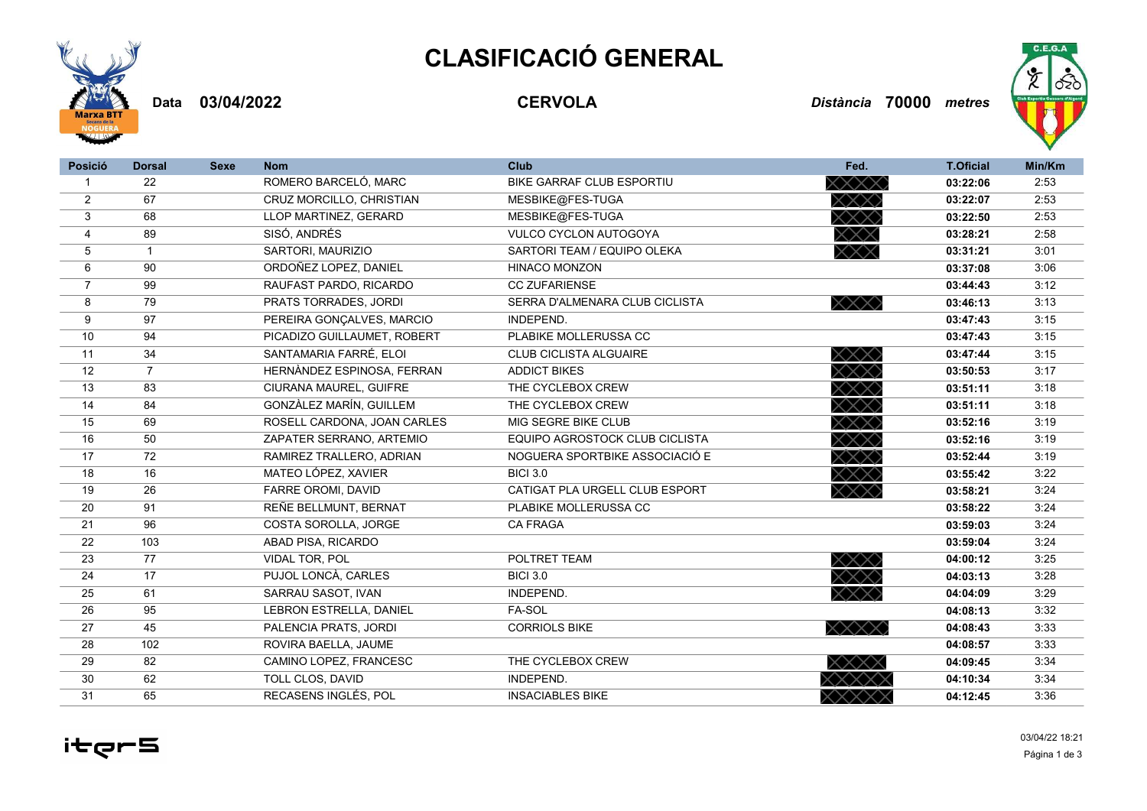## **CLASIFICACIÓ GENERAL**



**03/04/2022 CERVOLA** *Distància* **70000 Data** *metres*



| <b>Posició</b> | <b>Dorsal</b>  | <b>Sexe</b> | <b>Nom</b>                  | <b>Club</b>                    | Fed.                                      | <b>T.Oficial</b> | Min/Km |
|----------------|----------------|-------------|-----------------------------|--------------------------------|-------------------------------------------|------------------|--------|
| $\mathbf{1}$   | 22             |             | ROMERO BARCELÓ, MARC        | BIKE GARRAF CLUB ESPORTIU      | $\times\!\!\times\!\!\times\!\!\times$    | 03:22:06         | 2:53   |
| $\overline{2}$ | 67             |             | CRUZ MORCILLO, CHRISTIAN    | MESBIKE@FES-TUGA               | XXX)                                      | 03:22:07         | 2:53   |
| 3              | 68             |             | LLOP MARTINEZ, GERARD       | MESBIKE@FES-TUGA               | $\times\!\!\times\!\!\times\!\!\times$    | 03:22:50         | 2:53   |
| 4              | 89             |             | SISÓ, ANDRÉS                | <b>VULCO CYCLON AUTOGOYA</b>   | $\times\!\!\times\!\!\times$              | 03:28:21         | 2:58   |
| 5              | $\mathbf{1}$   |             | SARTORI, MAURIZIO           | SARTORI TEAM / EQUIPO OLEKA    | $\times\!\!\times\!\!\times$              | 03:31:21         | 3:01   |
| 6              | 90             |             | ORDOÑEZ LOPEZ. DANIEL       | <b>HINACO MONZON</b>           |                                           | 03:37:08         | 3:06   |
| $\overline{7}$ | 99             |             | RAUFAST PARDO, RICARDO      | <b>CC ZUFARIENSE</b>           |                                           | 03:44:43         | 3:12   |
| 8              | 79             |             | PRATS TORRADES, JORDI       | SERRA D'ALMENARA CLUB CICLISTA | $\times\!\!\times\!\!\times\!\!$          | 03:46:13         | 3:13   |
| 9              | 97             |             | PEREIRA GONÇALVES, MARCIO   | INDEPEND.                      |                                           | 03:47:43         | 3:15   |
| 10             | 94             |             | PICADIZO GUILLAUMET, ROBERT | PLABIKE MOLLERUSSA CC          |                                           | 03:47:43         | 3:15   |
| 11             | 34             |             | SANTAMARIA FARRÉ, ELOI      | <b>CLUB CICLISTA ALGUAIRE</b>  | $\times\!\!\times\!\!\times\!\!\times$    | 03:47:44         | 3:15   |
| 12             | $\overline{7}$ |             | HERNÀNDEZ ESPINOSA, FERRAN  | <b>ADDICT BIKES</b>            | $\times\!\!\times\!\!\times\!\!$          | 03:50:53         | 3:17   |
| 13             | 83             |             | CIURANA MAUREL, GUIFRE      | THE CYCLEBOX CREW              | $\times\!\!\times\!\!\times\!\!\times$    | 03:51:11         | 3:18   |
| 14             | 84             |             | GONZÀLEZ MARÍN, GUILLEM     | THE CYCLEBOX CREW              | XXX.                                      | 03:51:11         | 3:18   |
| 15             | 69             |             | ROSELL CARDONA, JOAN CARLES | MIG SEGRE BIKE CLUB            | $\times\!\!\times\!\!\times\!\!$          | 03:52:16         | 3:19   |
| 16             | 50             |             | ZAPATER SERRANO, ARTEMIO    | EQUIPO AGROSTOCK CLUB CICLISTA | $\times\!\!\times\!\!\times\!\!\times$    | 03:52:16         | 3:19   |
| 17             | 72             |             | RAMIREZ TRALLERO, ADRIAN    | NOGUERA SPORTBIKE ASSOCIACIÓ E | $\times\!\!\times\!\!\times\!\!$          | 03:52:44         | 3:19   |
| 18             | 16             |             | MATEO LÓPEZ, XAVIER         | <b>BICI 3.0</b>                | $\times\!\!\times\!\!\times\!\!$          | 03:55:42         | 3:22   |
| 19             | 26             |             | FARRE OROMI. DAVID          | CATIGAT PLA URGELL CLUB ESPORT | $\times\!\!\times\!\!\times\!\!$          | 03:58:21         | 3:24   |
| 20             | 91             |             | REÑE BELLMUNT, BERNAT       | PLABIKE MOLLERUSSA CC          |                                           | 03:58:22         | 3:24   |
| 21             | 96             |             | COSTA SOROLLA, JORGE        | <b>CA FRAGA</b>                |                                           | 03:59:03         | 3:24   |
| 22             | 103            |             | ABAD PISA, RICARDO          |                                |                                           | 03:59:04         | 3:24   |
| 23             | 77             |             | VIDAL TOR, POL              | POLTRET TEAM                   | $\times \!\!\times \!\!\times \!\!\times$ | 04:00:12         | 3:25   |
| 24             | 17             |             | PUJOL LONCÀ, CARLES         | <b>BICI 3.0</b>                | $\times\!\!\times\!\!\times\!\!\times$    | 04:03:13         | 3:28   |
| 25             | 61             |             | SARRAU SASOT, IVAN          | INDEPEND.                      | $\times \!\!\times \!\!\times \!\!\times$ | 04:04:09         | 3:29   |
| 26             | 95             |             | LEBRON ESTRELLA, DANIEL     | FA-SOL                         |                                           | 04:08:13         | 3:32   |
| 27             | 45             |             | PALENCIA PRATS, JORDI       | <b>CORRIOLS BIKE</b>           | $\times\times\times\times$                | 04:08:43         | 3:33   |
| 28             | 102            |             | ROVIRA BAELLA, JAUME        |                                |                                           | 04:08:57         | 3:33   |
| 29             | 82             |             | CAMINO LOPEZ, FRANCESC      | THE CYCLEBOX CREW              | XXXX                                      | 04:09:45         | 3:34   |
| 30             | 62             |             | TOLL CLOS, DAVID            | INDEPEND.                      |                                           | 04:10:34         | 3:34   |
| 31             | 65             |             | RECASENS INGLÉS, POL        | <b>INSACIABLES BIKE</b>        | XXXXX                                     | 04:12:45         | 3:36   |

itęr5

Página 1 de 3 03/04/22 18:21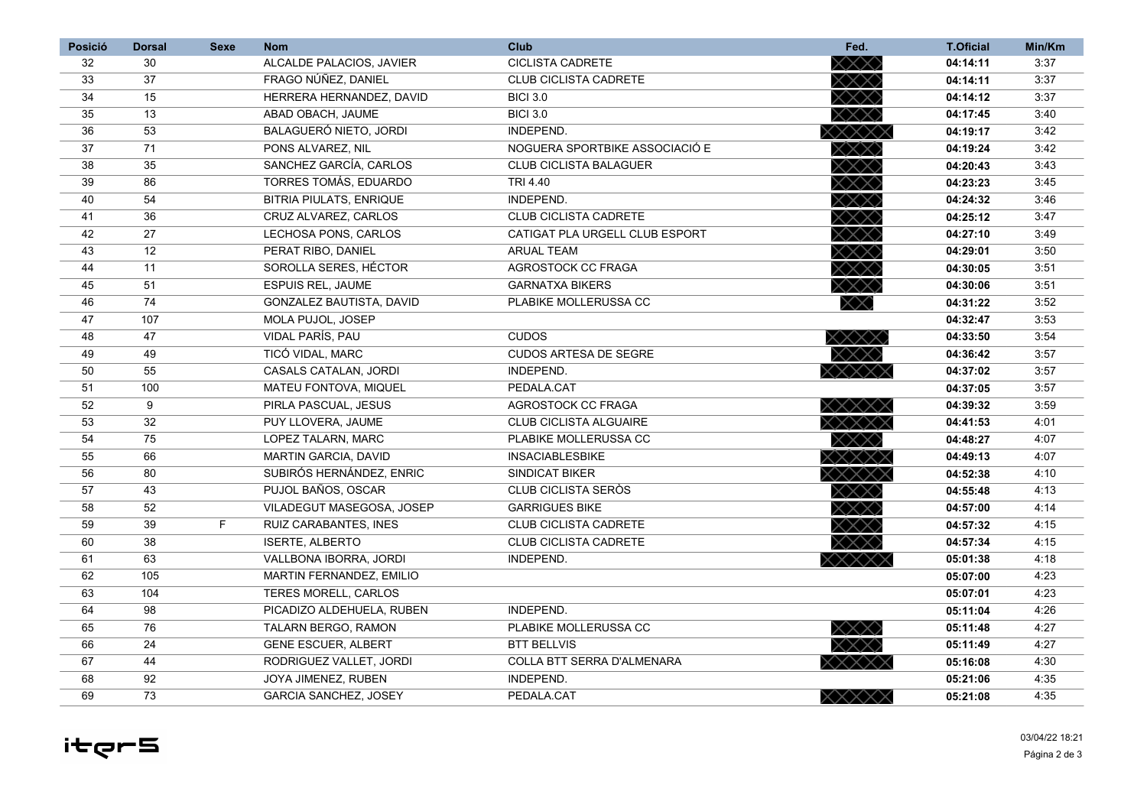| <b>Posició</b> | <b>Dorsal</b> | <b>Sexe</b> | <b>Nom</b>                     | <b>Club</b>                    | Fed.                                      | <b>T.Oficial</b> | Min/Km |
|----------------|---------------|-------------|--------------------------------|--------------------------------|-------------------------------------------|------------------|--------|
| 32             | 30            |             | ALCALDE PALACIOS, JAVIER       | <b>CICLISTA CADRETE</b>        | $\times\!\!\times\!\!\times$              | 04:14:11         | 3:37   |
| 33             | 37            |             | FRAGO NÚÑEZ, DANIEL            | <b>CLUB CICLISTA CADRETE</b>   | $\times\!\!\times\!\!\times$              | 04:14:11         | 3:37   |
| 34             | 15            |             | HERRERA HERNANDEZ, DAVID       | <b>BICI 3.0</b>                | $\times\!\!\times\!\!\times\!\!$          | 04:14:12         | 3:37   |
| 35             | 13            |             | ABAD OBACH. JAUME              | <b>BICI 3.0</b>                | $\times\!\!\times\!\!\times\!\!$          | 04:17:45         | 3:40   |
| 36             | 53            |             | BALAGUERÓ NIETO, JORDI         | INDEPEND.                      | XXXXX                                     | 04:19:17         | 3:42   |
| 37             | 71            |             | PONS ALVAREZ, NIL              | NOGUERA SPORTBIKE ASSOCIACIÓ E | XXX)                                      | 04:19:24         | 3:42   |
| 38             | 35            |             | SANCHEZ GARCÍA, CARLOS         | <b>CLUB CICLISTA BALAGUER</b>  | XXX                                       | 04:20:43         | 3:43   |
| 39             | 86            |             | TORRES TOMÁS, EDUARDO          | TRI 4.40                       | $\times \!\!\times \!\!\times$            | 04:23:23         | 3:45   |
| 40             | 54            |             | <b>BITRIA PIULATS, ENRIQUE</b> | INDEPEND.                      | XXX                                       | 04:24:32         | 3:46   |
| 41             | 36            |             | CRUZ ALVAREZ, CARLOS           | <b>CLUB CICLISTA CADRETE</b>   | XXX.                                      | 04:25:12         | 3:47   |
| 42             | 27            |             | LECHOSA PONS, CARLOS           | CATIGAT PLA URGELL CLUB ESPORT | XXX)                                      | 04:27:10         | 3:49   |
| 43             | 12            |             | PERAT RIBO, DANIEL             | <b>ARUAL TEAM</b>              | $\times\!\!\times\!\!\times$              | 04:29:01         | 3:50   |
| 44             | 11            |             | SOROLLA SERES, HÉCTOR          | AGROSTOCK CC FRAGA             | $\times\!\!\times\!\!\times\!\!$          | 04:30:05         | 3:51   |
| 45             | 51            |             | <b>ESPUIS REL, JAUME</b>       | <b>GARNATXA BIKERS</b>         | $\times\!\!\times\!\!\times$              | 04:30:06         | 3:51   |
| 46             | 74            |             | GONZALEZ BAUTISTA, DAVID       | PLABIKE MOLLERUSSA CC          |                                           | 04:31:22         | 3:52   |
| 47             | 107           |             | MOLA PUJOL, JOSEP              |                                |                                           | 04:32:47         | 3:53   |
| 48             | 47            |             | <b>VIDAL PARÍS, PAU</b>        | <b>CUDOS</b>                   | $\times\times\times\times$                | 04:33:50         | 3:54   |
| 49             | 49            |             | TICÓ VIDAL, MARC               | <b>CUDOS ARTESA DE SEGRE</b>   | $\times\!\!\times\!\!\times\!\!\times$    | 04:36:42         | 3:57   |
| 50             | 55            |             | CASALS CATALAN, JORDI          | INDEPEND.                      | $\times\times\times\times\times$          | 04:37:02         | 3:57   |
| 51             | 100           |             | MATEU FONTOVA, MIQUEL          | PEDALA.CAT                     |                                           | 04:37:05         | 3:57   |
| 52             | 9             |             | PIRLA PASCUAL, JESUS           | AGROSTOCK CC FRAGA             | x x x x x                                 | 04:39:32         | 3:59   |
| 53             | 32            |             | PUY LLOVERA, JAUME             | <b>CLUB CICLISTA ALGUAIRE</b>  | <b>xxxxxx</b>                             | 04:41:53         | 4:01   |
| 54             | 75            |             | LOPEZ TALARN, MARC             | PLABIKE MOLLERUSSA CC          | $\times \!\!\times \!\!\times \!\!\times$ | 04:48:27         | 4:07   |
| 55             | 66            |             | MARTIN GARCIA, DAVID           | <b>INSACIABLESBIKE</b>         | XXXXX                                     | 04:49:13         | 4:07   |
| 56             | 80            |             | SUBIRÓS HERNÁNDEZ, ENRIC       | <b>SINDICAT BIKER</b>          | <b>&lt;××××</b> ×                         | 04:52:38         | 4:10   |
| 57             | 43            |             | PUJOL BAÑOS, OSCAR             | CLUB CICLISTA SERÒS            | $\times\!\!\times\!\!\times\!\!$          | 04:55:48         | 4:13   |
| 58             | 52            |             | VILADEGUT MASEGOSA, JOSEP      | <b>GARRIGUES BIKE</b>          | XXX)                                      | 04:57:00         | 4:14   |
| 59             | 39            | F.          | RUIZ CARABANTES, INES          | <b>CLUB CICLISTA CADRETE</b>   | XXX)                                      | 04:57:32         | 4:15   |
| 60             | 38            |             | <b>ISERTE, ALBERTO</b>         | <b>CLUB CICLISTA CADRETE</b>   | XXX)                                      | 04:57:34         | 4:15   |
| 61             | 63            |             | VALLBONA IBORRA, JORDI         | INDEPEND.                      |                                           | 05:01:38         | 4:18   |
| 62             | 105           |             | MARTIN FERNANDEZ, EMILIO       |                                |                                           | 05:07:00         | 4:23   |
| 63             | 104           |             | TERES MORELL, CARLOS           |                                |                                           | 05:07:01         | 4:23   |
| 64             | 98            |             | PICADIZO ALDEHUELA, RUBEN      | INDEPEND.                      |                                           | 05:11:04         | 4:26   |
| 65             | 76            |             | TALARN BERGO, RAMON            | PLABIKE MOLLERUSSA CC          | XXX)                                      | 05:11:48         | 4:27   |
| 66             | 24            |             | <b>GENE ESCUER, ALBERT</b>     | <b>BTT BELLVIS</b>             |                                           | 05:11:49         | 4:27   |
| 67             | 44            |             | RODRIGUEZ VALLET, JORDI        | COLLA BTT SERRA D'ALMENARA     |                                           | 05:16:08         | 4:30   |
| 68             | 92            |             | JOYA JIMENEZ, RUBEN            | INDEPEND.                      |                                           | 05:21:06         | 4:35   |
| 69             | 73            |             | <b>GARCIA SANCHEZ, JOSEY</b>   | PEDALA.CAT                     | XXXXX                                     | 05:21:08         | 4:35   |